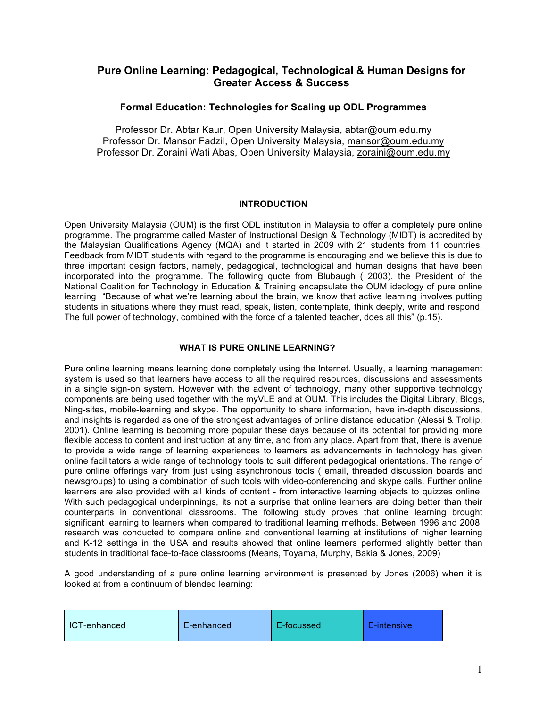# **Pure Online Learning: Pedagogical, Technological & Human Designs for Greater Access & Success**

# **Formal Education: Technologies for Scaling up ODL Programmes**

Professor Dr. Abtar Kaur, Open University Malaysia, abtar@oum.edu.my Professor Dr. Mansor Fadzil, Open University Malaysia, mansor@oum.edu.my Professor Dr. Zoraini Wati Abas, Open University Malaysia, zoraini@oum.edu.my

# **INTRODUCTION**

Open University Malaysia (OUM) is the first ODL institution in Malaysia to offer a completely pure online programme. The programme called Master of Instructional Design & Technology (MIDT) is accredited by the Malaysian Qualifications Agency (MQA) and it started in 2009 with 21 students from 11 countries. Feedback from MIDT students with regard to the programme is encouraging and we believe this is due to three important design factors, namely, pedagogical, technological and human designs that have been incorporated into the programme. The following quote from Blubaugh ( 2003), the President of the National Coalition for Technology in Education & Training encapsulate the OUM ideology of pure online learning "Because of what we're learning about the brain, we know that active learning involves putting students in situations where they must read, speak, listen, contemplate, think deeply, write and respond. The full power of technology, combined with the force of a talented teacher, does all this" (p.15).

# **WHAT IS PURE ONLINE LEARNING?**

Pure online learning means learning done completely using the Internet. Usually, a learning management system is used so that learners have access to all the required resources, discussions and assessments in a single sign-on system. However with the advent of technology, many other supportive technology components are being used together with the myVLE and at OUM. This includes the Digital Library, Blogs, Ning-sites, mobile-learning and skype. The opportunity to share information, have in-depth discussions, and insights is regarded as one of the strongest advantages of online distance education (Alessi & Trollip, 2001). Online learning is becoming more popular these days because of its potential for providing more flexible access to content and instruction at any time, and from any place. Apart from that, there is avenue to provide a wide range of learning experiences to learners as advancements in technology has given online facilitators a wide range of technology tools to suit different pedagogical orientations. The range of pure online offerings vary from just using asynchronous tools ( email, threaded discussion boards and newsgroups) to using a combination of such tools with video-conferencing and skype calls. Further online learners are also provided with all kinds of content - from interactive learning objects to quizzes online. With such pedagogical underpinnings, its not a surprise that online learners are doing better than their counterparts in conventional classrooms. The following study proves that online learning brought significant learning to learners when compared to traditional learning methods. Between 1996 and 2008, research was conducted to compare online and conventional learning at institutions of higher learning and K-12 settings in the USA and results showed that online learners performed slightly better than students in traditional face-to-face classrooms (Means, Toyama, Murphy, Bakia & Jones, 2009)

A good understanding of a pure online learning environment is presented by Jones (2006) when it is looked at from a continuum of blended learning:

| ICT-enhanced | E-enhanced | E-focussed | E-intensive |
|--------------|------------|------------|-------------|
|              |            |            |             |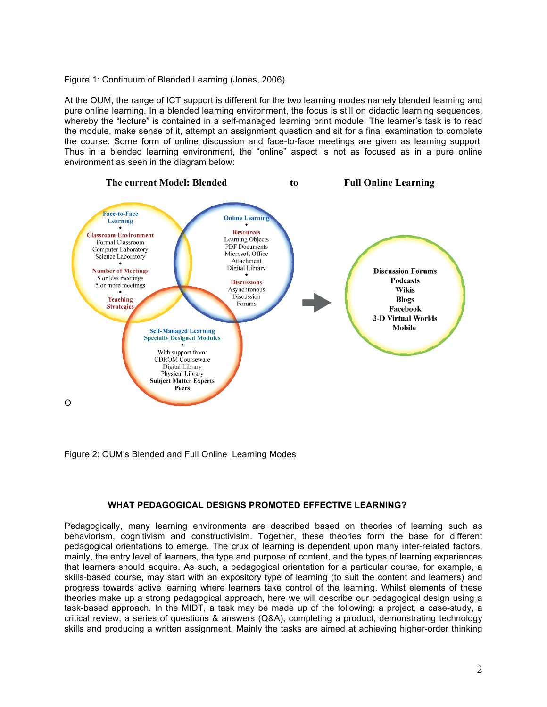Figure 1: Continuum of Blended Learning (Jones, 2006)

At the OUM, the range of ICT support is different for the two learning modes namely blended learning and pure online learning. In a blended learning environment, the focus is still on didactic learning sequences, whereby the "lecture" is contained in a self-managed learning print module. The learner's task is to read the module, make sense of it, attempt an assignment question and sit for a final examination to complete the course. Some form of online discussion and face-to-face meetings are given as learning support. Thus in a blended learning environment, the "online" aspect is not as focused as in a pure online environment as seen in the diagram below:



Figure 2: OUM's Blended and Full Online Learning Modes

#### **WHAT PEDAGOGICAL DESIGNS PROMOTED EFFECTIVE LEARNING?**

Pedagogically, many learning environments are described based on theories of learning such as behaviorism, cognitivism and constructivisim. Together, these theories form the base for different pedagogical orientations to emerge. The crux of learning is dependent upon many inter-related factors, mainly, the entry level of learners, the type and purpose of content, and the types of learning experiences that learners should acquire. As such, a pedagogical orientation for a particular course, for example, a skills-based course, may start with an expository type of learning (to suit the content and learners) and progress towards active learning where learners take control of the learning. Whilst elements of these theories make up a strong pedagogical approach, here we will describe our pedagogical design using a task-based approach. In the MIDT, a task may be made up of the following: a project, a case-study, a critical review, a series of questions & answers (Q&A), completing a product, demonstrating technology skills and producing a written assignment. Mainly the tasks are aimed at achieving higher-order thinking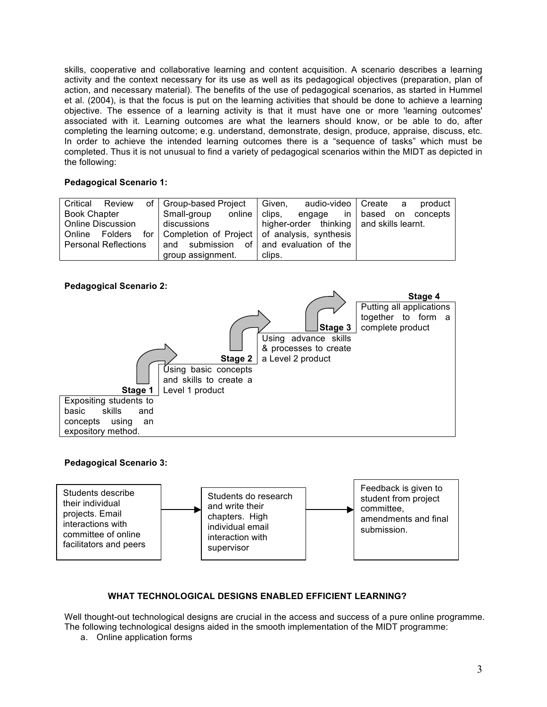skills, cooperative and collaborative learning and content acquisition. A scenario describes a learning activity and the context necessary for its use as well as its pedagogical objectives (preparation, plan of action, and necessary material). The benefits of the use of pedagogical scenarios, as started in Hummel et al. (2004), is that the focus is put on the learning activities that should be done to achieve a learning objective. The essence of a learning activity is that it must have one or more 'learning outcomes' associated with it. Learning outcomes are what the learners should know, or be able to do, after completing the learning outcome; e.g. understand, demonstrate, design, produce, appraise, discuss, etc. In order to achieve the intended learning outcomes there is a "sequence of tasks" which must be completed. Thus it is not unusual to find a variety of pedagogical scenarios within the MIDT as depicted in the following:

# **Pedagogical Scenario 1:**

| Critical Review          |                             |             | of Group-based Project   Given,                      |                                            |  | audio-video   Create a |  |  |  | product              |
|--------------------------|-----------------------------|-------------|------------------------------------------------------|--------------------------------------------|--|------------------------|--|--|--|----------------------|
| <b>Book Chapter</b>      |                             |             | Small-group                                          | online   clips,                            |  | engage                 |  |  |  | in based on concepts |
| <b>Online Discussion</b> |                             | discussions |                                                      | higher-order thinking   and skills learnt. |  |                        |  |  |  |                      |
| Online Folders           |                             |             | for   Completion of Project   of analysis, synthesis |                                            |  |                        |  |  |  |                      |
|                          | <b>Personal Reflections</b> |             | and submission of and evaluation of the              |                                            |  |                        |  |  |  |                      |
|                          |                             |             | group assignment.                                    | clips.                                     |  |                        |  |  |  |                      |



# **Pedagogical Scenario 3:**



# **WHAT TECHNOLOGICAL DESIGNS ENABLED EFFICIENT LEARNING?**

Well thought-out technological designs are crucial in the access and success of a pure online programme. The following technological designs aided in the smooth implementation of the MIDT programme:

a. Online application forms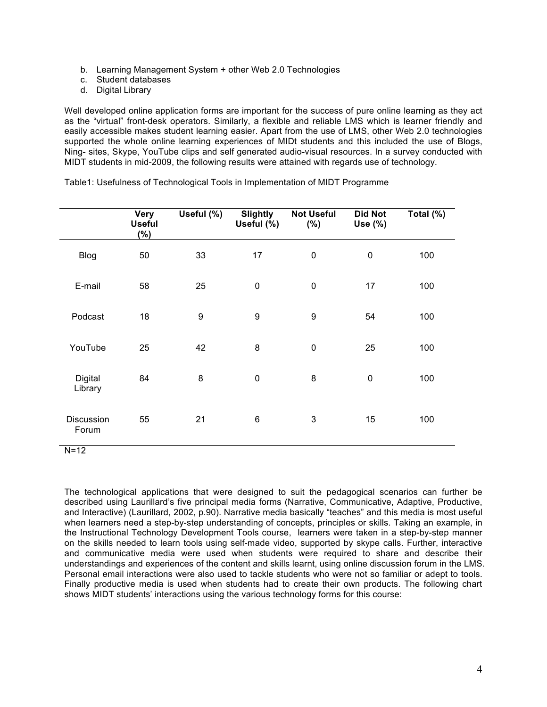- b. Learning Management System + other Web 2.0 Technologies
- c. Student databases
- d. Digital Library

Well developed online application forms are important for the success of pure online learning as they act as the "virtual" front-desk operators. Similarly, a flexible and reliable LMS which is learner friendly and easily accessible makes student learning easier. Apart from the use of LMS, other Web 2.0 technologies supported the whole online learning experiences of MIDt students and this included the use of Blogs, Ning- sites, Skype, YouTube clips and self generated audio-visual resources. In a survey conducted with MIDT students in mid-2009, the following results were attained with regards use of technology.

|  |  | Table1: Usefulness of Technological Tools in Implementation of MIDT Programme |
|--|--|-------------------------------------------------------------------------------|
|  |  |                                                                               |

|                     | <b>Very</b><br><b>Useful</b><br>$(\%)$ | Useful (%)       | <b>Slightly</b><br>Useful (%) | <b>Not Useful</b><br>(%) | <b>Did Not</b><br>Use $(\%)$ | Total (%) |
|---------------------|----------------------------------------|------------------|-------------------------------|--------------------------|------------------------------|-----------|
| <b>Blog</b>         | 50                                     | 33               | 17                            | $\pmb{0}$                | $\pmb{0}$                    | 100       |
| E-mail              | 58                                     | 25               | $\mathbf 0$                   | $\pmb{0}$                | 17                           | 100       |
| Podcast             | 18                                     | $\boldsymbol{9}$ | 9                             | 9                        | 54                           | 100       |
| YouTube             | 25                                     | 42               | 8                             | $\pmb{0}$                | 25                           | 100       |
| Digital<br>Library  | 84                                     | 8                | $\mathbf 0$                   | 8                        | $\pmb{0}$                    | 100       |
| Discussion<br>Forum | 55                                     | 21               | $\,6$                         | 3                        | 15                           | 100       |

 $N=12$ 

The technological applications that were designed to suit the pedagogical scenarios can further be described using Laurillard's five principal media forms (Narrative, Communicative, Adaptive, Productive, and Interactive) (Laurillard, 2002, p.90). Narrative media basically "teaches" and this media is most useful when learners need a step-by-step understanding of concepts, principles or skills. Taking an example, in the Instructional Technology Development Tools course, learners were taken in a step-by-step manner on the skills needed to learn tools using self-made video, supported by skype calls. Further, interactive and communicative media were used when students were required to share and describe their understandings and experiences of the content and skills learnt, using online discussion forum in the LMS. Personal email interactions were also used to tackle students who were not so familiar or adept to tools. Finally productive media is used when students had to create their own products. The following chart shows MIDT students' interactions using the various technology forms for this course: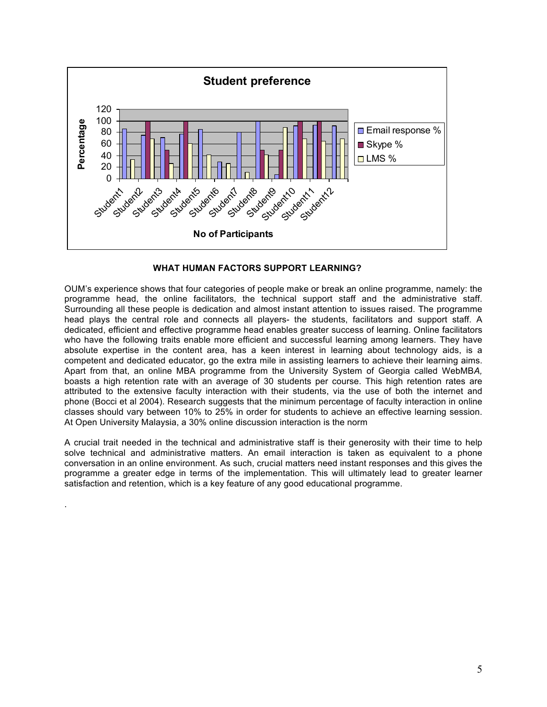

### **WHAT HUMAN FACTORS SUPPORT LEARNING?**

OUM's experience shows that four categories of people make or break an online programme, namely: the programme head, the online facilitators, the technical support staff and the administrative staff. Surrounding all these people is dedication and almost instant attention to issues raised. The programme head plays the central role and connects all players- the students, facilitators and support staff. A dedicated, efficient and effective programme head enables greater success of learning. Online facilitators who have the following traits enable more efficient and successful learning among learners. They have absolute expertise in the content area, has a keen interest in learning about technology aids, is a competent and dedicated educator, go the extra mile in assisting learners to achieve their learning aims. Apart from that, an online MBA programme from the University System of Georgia called WebMB*A,*  boasts a high retention rate with an average of 30 students per course. This high retention rates are attributed to the extensive faculty interaction with their students, via the use of both the internet and phone (Bocci et al 2004). Research suggests that the minimum percentage of faculty interaction in online classes should vary between 10% to 25% in order for students to achieve an effective learning session. At Open University Malaysia, a 30% online discussion interaction is the norm

A crucial trait needed in the technical and administrative staff is their generosity with their time to help solve technical and administrative matters. An email interaction is taken as equivalent to a phone conversation in an online environment. As such, crucial matters need instant responses and this gives the programme a greater edge in terms of the implementation. This will ultimately lead to greater learner satisfaction and retention, which is a key feature of any good educational programme.

.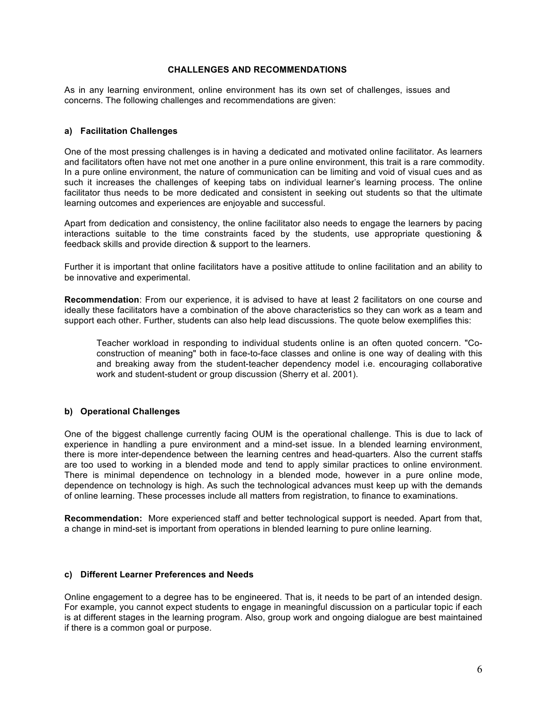#### **CHALLENGES AND RECOMMENDATIONS**

As in any learning environment, online environment has its own set of challenges, issues and concerns. The following challenges and recommendations are given:

### **a) Facilitation Challenges**

One of the most pressing challenges is in having a dedicated and motivated online facilitator. As learners and facilitators often have not met one another in a pure online environment, this trait is a rare commodity. In a pure online environment, the nature of communication can be limiting and void of visual cues and as such it increases the challenges of keeping tabs on individual learner's learning process. The online facilitator thus needs to be more dedicated and consistent in seeking out students so that the ultimate learning outcomes and experiences are enjoyable and successful.

Apart from dedication and consistency, the online facilitator also needs to engage the learners by pacing interactions suitable to the time constraints faced by the students, use appropriate questioning & feedback skills and provide direction & support to the learners.

Further it is important that online facilitators have a positive attitude to online facilitation and an ability to be innovative and experimental.

**Recommendation**: From our experience, it is advised to have at least 2 facilitators on one course and ideally these facilitators have a combination of the above characteristics so they can work as a team and support each other. Further, students can also help lead discussions. The quote below exemplifies this:

Teacher workload in responding to individual students online is an often quoted concern. "Coconstruction of meaning" both in face-to-face classes and online is one way of dealing with this and breaking away from the student-teacher dependency model i.e. encouraging collaborative work and student-student or group discussion (Sherry et al. 2001).

# **b) Operational Challenges**

One of the biggest challenge currently facing OUM is the operational challenge. This is due to lack of experience in handling a pure environment and a mind-set issue. In a blended learning environment, there is more inter-dependence between the learning centres and head-quarters. Also the current staffs are too used to working in a blended mode and tend to apply similar practices to online environment. There is minimal dependence on technology in a blended mode, however in a pure online mode, dependence on technology is high. As such the technological advances must keep up with the demands of online learning. These processes include all matters from registration, to finance to examinations.

**Recommendation:** More experienced staff and better technological support is needed. Apart from that, a change in mind-set is important from operations in blended learning to pure online learning.

#### **c) Different Learner Preferences and Needs**

Online engagement to a degree has to be engineered. That is, it needs to be part of an intended design. For example, you cannot expect students to engage in meaningful discussion on a particular topic if each is at different stages in the learning program. Also, group work and ongoing dialogue are best maintained if there is a common goal or purpose.